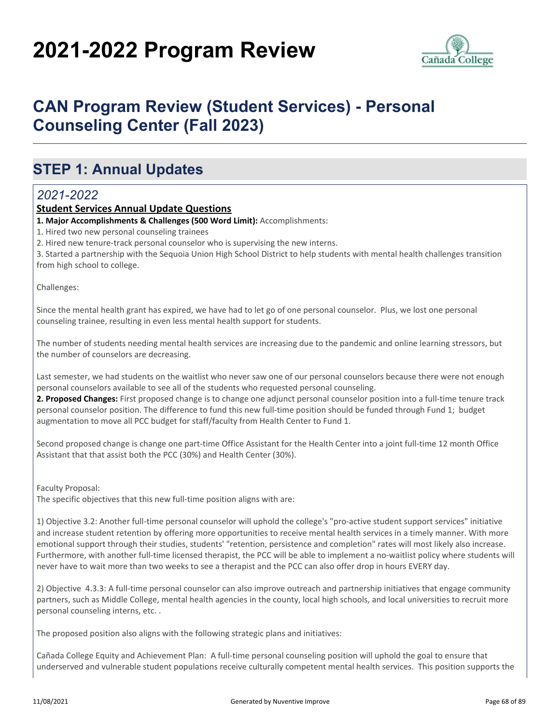# **2021-2022 Program Review**



## **CAN Program Review (Student Services) - Personal Counseling Center (Fall 2023)**

### **STEP 1: Annual Updates**

#### *2021-2022*

#### **Student Services Annual Update Questions**

**1. Major Accomplishments & Challenges (500 Word Limit):** Accomplishments:

1. Hired two new personal counseling trainees

2. Hired new tenure-track personal counselor who is supervising the new interns.

3. Started a partnership with the Sequoia Union High School District to help students with mental health challenges transition from high school to college.

Challenges:

Since the mental health grant has expired, we have had to let go of one personal counselor. Plus, we lost one personal counseling trainee, resulting in even less mental health support for students.

The number of students needing mental health services are increasing due to the pandemic and online learning stressors, but the number of counselors are decreasing.

Last semester, we had students on the waitlist who never saw one of our personal counselors because there were not enough personal counselors available to see all of the students who requested personal counseling.

**2. Proposed Changes:** First proposed change is to change one adjunct personal counselor position into a full-time tenure track personal counselor position. The difference to fund this new full-time position should be funded through Fund 1; budget augmentation to move all PCC budget for staff/faculty from Health Center to Fund 1.

Second proposed change is change one part-time Office Assistant for the Health Center into a joint full-time 12 month Office Assistant that that assist both the PCC (30%) and Health Center (30%).

Faculty Proposal:

The specific objectives that this new full-time position aligns with are:

1) Objective 3.2: Another full-time personal counselor will uphold the college's "pro-active student support services" initiative and increase student retention by offering more opportunities to receive mental health services in a timely manner. With more emotional support through their studies, students' "retention, persistence and completion" rates will most likely also increase. Furthermore, with another full-time licensed therapist, the PCC will be able to implement a no-waitlist policy where students will never have to wait more than two weeks to see a therapist and the PCC can also offer drop in hours EVERY day.

2) Objective 4.3.3: A full-time personal counselor can also improve outreach and partnership initiatives that engage community partners, such as Middle College, mental health agencies in the county, local high schools, and local universities to recruit more personal counseling interns, etc. .

The proposed position also aligns with the following strategic plans and initiatives:

Cañada College Equity and Achievement Plan: A full-time personal counseling position will uphold the goal to ensure that underserved and vulnerable student populations receive culturally competent mental health services. This position supports the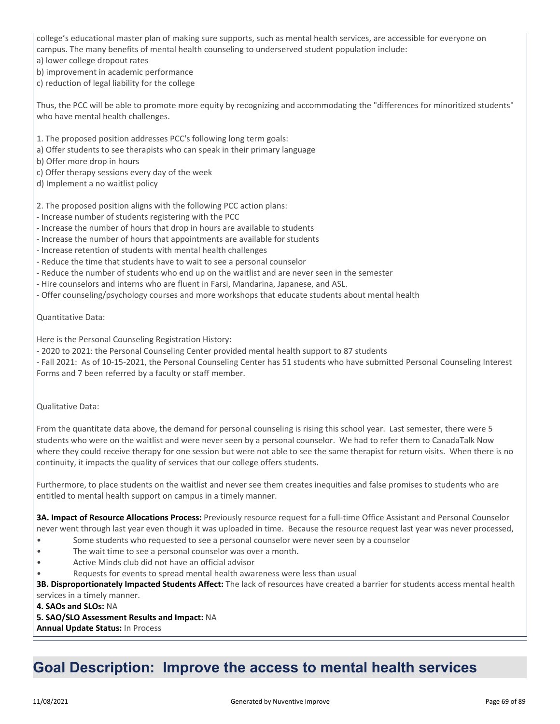college's educational master plan of making sure supports, such as mental health services, are accessible for everyone on campus. The many benefits of mental health counseling to underserved student population include:

a) lower college dropout rates

b) improvement in academic performance

c) reduction of legal liability for the college

Thus, the PCC will be able to promote more equity by recognizing and accommodating the "differences for minoritized students" who have mental health challenges.

1. The proposed position addresses PCC's following long term goals:

- a) Offer students to see therapists who can speak in their primary language
- b) Offer more drop in hours
- c) Offer therapy sessions every day of the week
- d) Implement a no waitlist policy

2. The proposed position aligns with the following PCC action plans:

- Increase number of students registering with the PCC

- Increase the number of hours that drop in hours are available to students
- Increase the number of hours that appointments are available for students
- Increase retention of students with mental health challenges
- Reduce the time that students have to wait to see a personal counselor
- Reduce the number of students who end up on the waitlist and are never seen in the semester
- Hire counselors and interns who are fluent in Farsi, Mandarina, Japanese, and ASL.
- Offer counseling/psychology courses and more workshops that educate students about mental health

Quantitative Data:

Here is the Personal Counseling Registration History:

- 2020 to 2021: the Personal Counseling Center provided mental health support to 87 students

- Fall 2021: As of 10-15-2021, the Personal Counseling Center has 51 students who have submitted Personal Counseling Interest Forms and 7 been referred by a faculty or staff member.

Qualitative Data:

From the quantitate data above, the demand for personal counseling is rising this school year. Last semester, there were 5 students who were on the waitlist and were never seen by a personal counselor. We had to refer them to CanadaTalk Now where they could receive therapy for one session but were not able to see the same therapist for return visits. When there is no continuity, it impacts the quality of services that our college offers students.

Furthermore, to place students on the waitlist and never see them creates inequities and false promises to students who are entitled to mental health support on campus in a timely manner.

**3A. Impact of Resource Allocations Process:** Previously resource request for a full-time Office Assistant and Personal Counselor never went through last year even though it was uploaded in time. Because the resource request last year was never processed,

- Some students who requested to see a personal counselor were never seen by a counselor
- The wait time to see a personal counselor was over a month.
- Active Minds club did not have an official advisor
- Requests for events to spread mental health awareness were less than usual

**3B. Disproportionately Impacted Students Affect:** The lack of resources have created a barrier for students access mental health services in a timely manner.

**4. SAOs and SLOs:** NA

**5. SAO/SLO Assessment Results and Impact:** NA

**Annual Update Status:** In Process

### **Goal Description: Improve the access to mental health services**